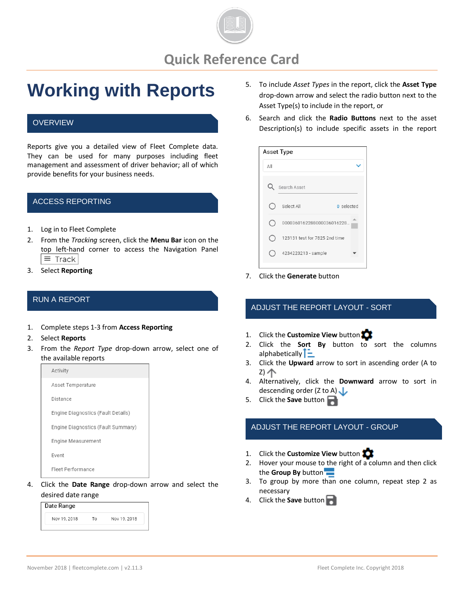

# **Working with Reports**

### **OVERVIEW**

Reports give you a detailed view of Fleet Complete data. They can be used for many purposes including fleet management and assessment of driver behavior; all of which provide benefits for your business needs.

### ACCESS REPORTING

- 1. Log in to Fleet Complete
- 2. From the *Tracking* screen, click the **Menu Bar** icon on the top left-hand corner to access the Navigation Panel  $\equiv$  Track
- 3. Select **Reporting**

## RUN A REPORT

- 1. Complete steps 1-3 from **Access Reporting**
- 2. Select **Reports**
- 3. From the *Report Type* drop-down arrow, select one of the available reports



4. Click the **Date Range** drop-down arrow and select the desired date range

| Date Range   |    |              |
|--------------|----|--------------|
| Nov 19, 2018 | Т٥ | Nov 19, 2018 |

- 5. To include *Asset Types* in the report, click the **Asset Type** drop-down arrow and select the radio button next to the Asset Type(s) to include in the report, or
- 6. Search and click the **Radio Buttons** next to the asset Description(s) to include specific assets in the report

| Asset Type |                               |  |
|------------|-------------------------------|--|
| All        |                               |  |
|            | Search Asset                  |  |
|            | Select All<br>0 selected      |  |
|            | 0000360162288000036016228     |  |
|            | 123131 test for 7825 2nd time |  |
|            | 4234223213 - sample           |  |

7. Click the **Generate** button

### ADJUST THE REPORT LAYOUT - SORT

- 1. Click the **Customize View** button
- 2. Click the **Sort By** button to sort the columns alphabetically  $\Gamma$
- 3. Click the **Upward** arrow to sort in ascending order (A to Z) 个
- 4. Alternatively, click the **Downward** arrow to sort in descending order (Z to A)
- 5. Click the **Save** button

### ADJUST THE REPORT LAYOUT - GROUP

- 1. Click the **Customize View** button
- 2. Hover your mouse to the right of a column and then click the **Group By** button
- 3. To group by more than one column, repeat step 2 as necessary
- 4. Click the **Save** button